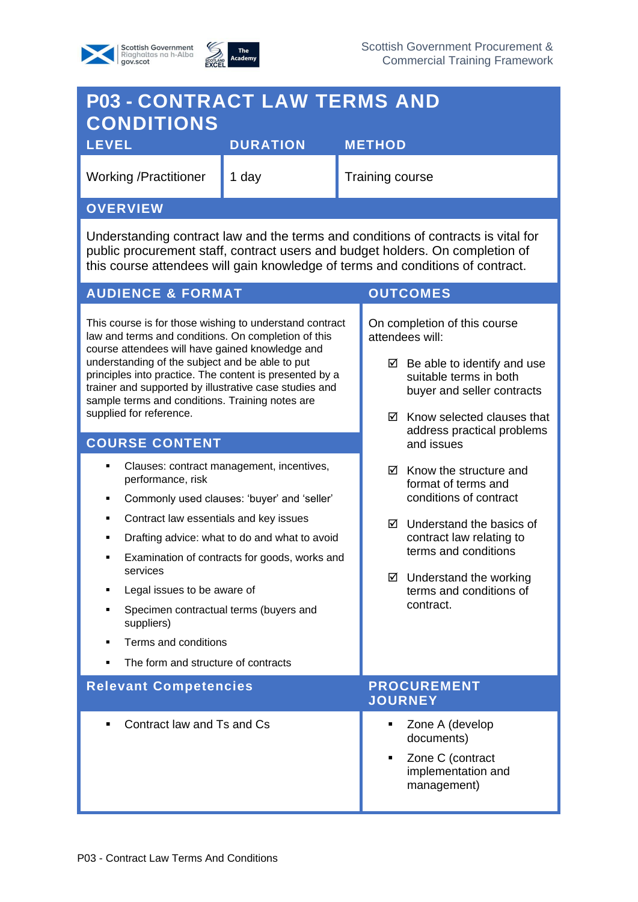



## **P03 - CONTRACT LAW TERMS AND CONDITIONS LEVEL DURATION METHOD**  Working /Practitioner 1 day Training course **OVERVIEW** Understanding contract law and the terms and conditions of contracts is vital for public procurement staff, contract users and budget holders. On completion of this course attendees will gain knowledge of terms and conditions of contract. **AUDIENCE & FORMAT OUTCOMES** This course is for those wishing to understand contract law and terms and conditions. On completion of this course attendees will have gained knowledge and understanding of the subject and be able to put principles into practice. The content is presented by a trainer and supported by illustrative case studies and sample terms and conditions. Training notes are supplied for reference. On completion of this course attendees will:  $\boxtimes$  Be able to identify and use suitable terms in both buyer and seller contracts  $\boxtimes$  Know selected clauses that address practical problems and issues  $\boxtimes$  Know the structure and format of terms and conditions of contract Understand the basics of contract law relating to terms and conditions  $\boxtimes$  Understand the working terms and conditions of contract. **COURSE CONTENT** Clauses: contract management, incentives, performance, risk Commonly used clauses: 'buyer' and 'seller' Contract law essentials and key issues ■ Drafting advice: what to do and what to avoid ■ Examination of contracts for goods, works and services Legal issues to be aware of Specimen contractual terms (buyers and suppliers) Terms and conditions The form and structure of contracts **Relevant Competencies And Algebra PROCUREMENT JOURNEY** ■ Contract law and Ts and Cs ■ Zone A (develop documents) Zone C (contract implementation and management)